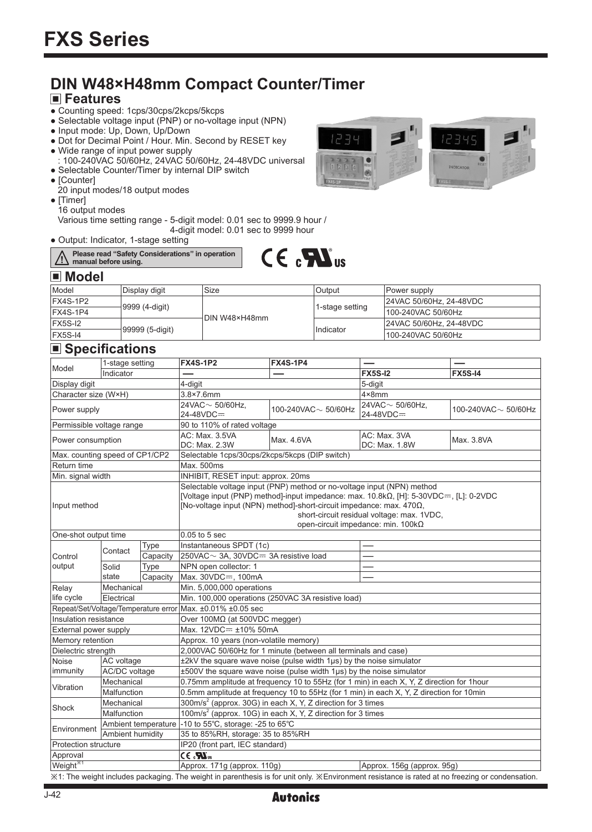# **DIN W48×H48mm Compact Counter/Timer**

### **Features**

- Counting speed: 1cps/30cps/2kcps/5kcps
- Selectable voltage input (PNP) or no-voltage input (NPN)
- Input mode: Up, Down, Up/Down
- Dot for Decimal Point / Hour. Min. Second by RESET key
- Wide range of input power supply
- : 100-240VAC 50/60Hz, 24VAC 50/60Hz, 24-48VDC universal • Selectable Counter/Timer by internal DIP switch
- [Counter]
- 20 input modes/18 output modes
- [Timer] 16 output modes

 Various time setting range - 5-digit model: 0.01 sec to 9999.9 hour / 4-digit model: 0.01 sec to 9999 hour

● Output: Indicator, 1-stage setting





#### $\blacksquare$  Model

| Model           | lDisplav digit  | Size          | Output          | <b>Power supply</b>     |
|-----------------|-----------------|---------------|-----------------|-------------------------|
| FX4S-1P2        | 9999 (4-digit)  | DIN W48×H48mm | 1-stage setting | 24VAC 50/60Hz, 24-48VDC |
| FX4S-1P4        |                 |               |                 | 100-240VAC 50/60Hz      |
| <b>IFX5S-I2</b> | 99999 (5-digit) |               | Indicator       | 24VAC 50/60Hz, 24-48VDC |
| FX5S-I4         |                 |               |                 | 100-240VAC 50/60Hz      |

## **■ Specifications**

| ■ Specifications                                           |                      |                                                                                                                                                                                                                                                                                                                                     |                                                                                          |                                                                                                                                                 |                               |                |  |
|------------------------------------------------------------|----------------------|-------------------------------------------------------------------------------------------------------------------------------------------------------------------------------------------------------------------------------------------------------------------------------------------------------------------------------------|------------------------------------------------------------------------------------------|-------------------------------------------------------------------------------------------------------------------------------------------------|-------------------------------|----------------|--|
|                                                            | 1-stage setting      |                                                                                                                                                                                                                                                                                                                                     | <b>FX4S-1P2</b>                                                                          | <b>FX4S-1P4</b>                                                                                                                                 |                               |                |  |
| Model                                                      | Indicator            |                                                                                                                                                                                                                                                                                                                                     |                                                                                          |                                                                                                                                                 | <b>FX5S-I2</b>                | <b>FX5S-14</b> |  |
| Display digit                                              |                      | 4-digit                                                                                                                                                                                                                                                                                                                             |                                                                                          | 5-digit                                                                                                                                         |                               |                |  |
| Character size (W×H)                                       |                      |                                                                                                                                                                                                                                                                                                                                     | $3.8 \times 7.6$ mm                                                                      |                                                                                                                                                 | $4 \times 8$ mm               |                |  |
| Power supply                                               |                      | 24VAC $\sim$ 50/60Hz.<br>24-48VDC=                                                                                                                                                                                                                                                                                                  | 100-240VAC $\sim$ 50/60Hz                                                                | 24VAC $\sim$ 50/60Hz.<br>24-48VDC=                                                                                                              | 100-240VAC $\sim$ 50/60Hz     |                |  |
| Permissible voltage range                                  |                      |                                                                                                                                                                                                                                                                                                                                     | 90 to 110% of rated voltage                                                              |                                                                                                                                                 |                               |                |  |
| Power consumption                                          |                      |                                                                                                                                                                                                                                                                                                                                     | AC: Max. 3.5VA<br>DC: Max. 2.3W                                                          | Max. 4.6VA                                                                                                                                      | AC: Max. 3VA<br>DC: Max. 1.8W | Max. 3.8VA     |  |
| Max. counting speed of CP1/CP2                             |                      |                                                                                                                                                                                                                                                                                                                                     | Selectable 1cps/30cps/2kcps/5kcps (DIP switch)                                           |                                                                                                                                                 |                               |                |  |
| Return time                                                |                      |                                                                                                                                                                                                                                                                                                                                     | Max. 500ms                                                                               |                                                                                                                                                 |                               |                |  |
| Min. signal width                                          |                      |                                                                                                                                                                                                                                                                                                                                     | INHIBIT, RESET input: approx. 20ms                                                       |                                                                                                                                                 |                               |                |  |
| Input method                                               |                      | Selectable voltage input (PNP) method or no-voltage input (NPN) method<br>[Voltage input (PNP) method]-input impedance: max. 10.8k $\Omega$ , [H]: 5-30VDC=, [L]: 0-2VDC<br>[No-voltage input (NPN) method]-short-circuit impedance: max. 4700,<br>short-circuit residual voltage: max. 1VDC,<br>open-circuit impedance: min. 100kΩ |                                                                                          |                                                                                                                                                 |                               |                |  |
| One-shot output time                                       |                      |                                                                                                                                                                                                                                                                                                                                     | $0.05$ to $5$ sec                                                                        |                                                                                                                                                 |                               |                |  |
|                                                            |                      | Type                                                                                                                                                                                                                                                                                                                                | Instantaneous SPDT (1c)                                                                  |                                                                                                                                                 |                               |                |  |
| Control                                                    | Contact              | Capacity                                                                                                                                                                                                                                                                                                                            |                                                                                          | 250VAC ~ 3A, 30VDC= 3A resistive load                                                                                                           |                               |                |  |
| output                                                     | Solid                | Type                                                                                                                                                                                                                                                                                                                                | NPN open collector: 1                                                                    |                                                                                                                                                 |                               |                |  |
|                                                            | state                | Capacity                                                                                                                                                                                                                                                                                                                            | Max. 30VDC=, 100mA                                                                       |                                                                                                                                                 |                               |                |  |
| Relay                                                      | Mechanical           |                                                                                                                                                                                                                                                                                                                                     | Min. 5,000,000 operations                                                                |                                                                                                                                                 |                               |                |  |
| life cycle                                                 | Electrical           |                                                                                                                                                                                                                                                                                                                                     | Min. 100,000 operations (250VAC 3A resistive load)                                       |                                                                                                                                                 |                               |                |  |
| Repeat/Set/Voltage/Temperature error Max. ±0.01% ±0.05 sec |                      |                                                                                                                                                                                                                                                                                                                                     |                                                                                          |                                                                                                                                                 |                               |                |  |
| Insulation resistance                                      |                      |                                                                                                                                                                                                                                                                                                                                     | Over 100MΩ (at 500VDC megger)                                                            |                                                                                                                                                 |                               |                |  |
| External power supply                                      |                      |                                                                                                                                                                                                                                                                                                                                     | Max. 12VDC= ±10% 50mA                                                                    |                                                                                                                                                 |                               |                |  |
| Memory retention                                           |                      |                                                                                                                                                                                                                                                                                                                                     | Approx. 10 years (non-volatile memory)                                                   |                                                                                                                                                 |                               |                |  |
| Dielectric strength                                        |                      |                                                                                                                                                                                                                                                                                                                                     | 2,000VAC 50/60Hz for 1 minute (between all terminals and case)                           |                                                                                                                                                 |                               |                |  |
| <b>Noise</b>                                               | AC voltage           |                                                                                                                                                                                                                                                                                                                                     |                                                                                          | $\pm$ 2kV the square wave noise (pulse width 1 $\mu$ s) by the noise simulator                                                                  |                               |                |  |
| immunity                                                   | <b>AC/DC</b> voltage |                                                                                                                                                                                                                                                                                                                                     |                                                                                          | ±500V the square wave noise (pulse width 1µs) by the noise simulator                                                                            |                               |                |  |
| Vibration                                                  | Mechanical           |                                                                                                                                                                                                                                                                                                                                     | 0.75mm amplitude at frequency 10 to 55Hz (for 1 min) in each X, Y, Z direction for 1hour |                                                                                                                                                 |                               |                |  |
|                                                            | Malfunction          |                                                                                                                                                                                                                                                                                                                                     | 0.5mm amplitude at frequency 10 to 55Hz (for 1 min) in each X, Y, Z direction for 10min  |                                                                                                                                                 |                               |                |  |
|                                                            | Mechanical           |                                                                                                                                                                                                                                                                                                                                     | 300m/s <sup>2</sup> (approx. 30G) in each X, Y, Z direction for 3 times                  |                                                                                                                                                 |                               |                |  |
| Shock                                                      | Malfunction          |                                                                                                                                                                                                                                                                                                                                     | 100m/s <sup>2</sup> (approx. 10G) in each X, Y, Z direction for 3 times                  |                                                                                                                                                 |                               |                |  |
| Environment                                                |                      | Ambient temperature                                                                                                                                                                                                                                                                                                                 | -10 to 55°C, storage: -25 to 65°C                                                        |                                                                                                                                                 |                               |                |  |
|                                                            | Ambient humidity     |                                                                                                                                                                                                                                                                                                                                     | 35 to 85%RH, storage: 35 to 85%RH                                                        |                                                                                                                                                 |                               |                |  |
| <b>Protection structure</b>                                |                      | IP20 (front part, IEC standard)                                                                                                                                                                                                                                                                                                     |                                                                                          |                                                                                                                                                 |                               |                |  |
| Approval                                                   |                      | $CE$ $\mathbf{N}_{\text{us}}$                                                                                                                                                                                                                                                                                                       |                                                                                          |                                                                                                                                                 |                               |                |  |
| Weight <sup>*1</sup>                                       |                      |                                                                                                                                                                                                                                                                                                                                     | Approx. 171g (approx. 110g)                                                              |                                                                                                                                                 | Approx. 156g (approx. 95g)    |                |  |
|                                                            |                      |                                                                                                                                                                                                                                                                                                                                     |                                                                                          | X1: The weight includes packaging. The weight in parenthesis is for unit only. XEnvironment resistance is rated at no freezing or condensation. |                               |                |  |

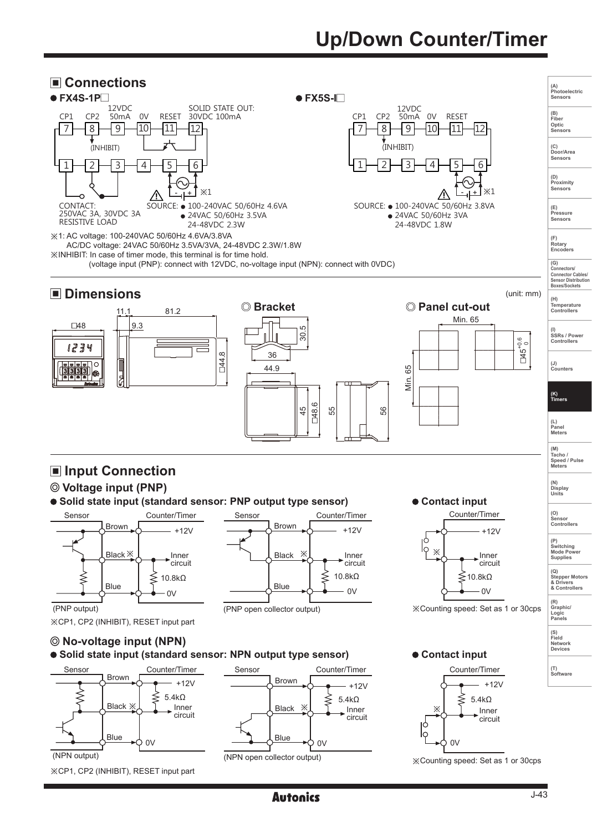# **Up/Down Counter/Timer**

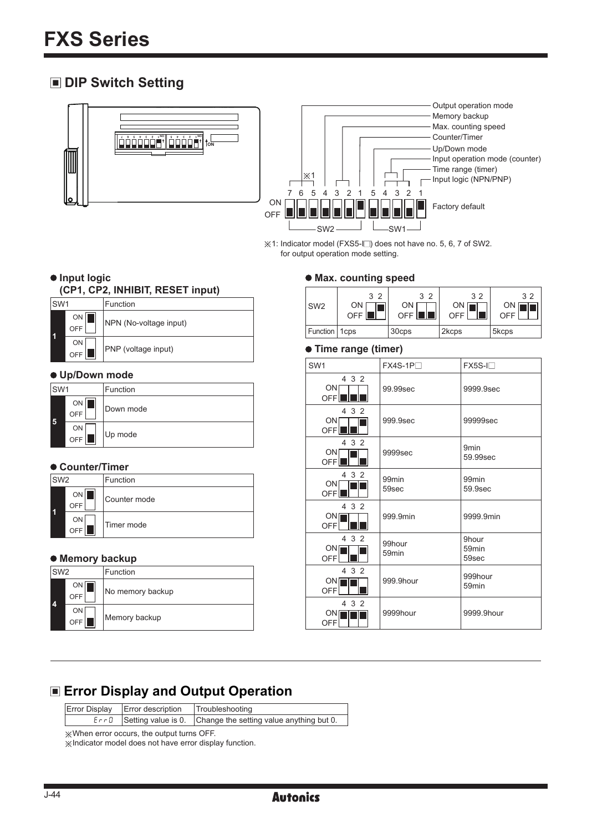## **DIP Switch Setting**





※1: Indicator model (FXS5-I□) does not have no. 5, 6, 7 of SW2. for output operation mode setting.

## **Max. counting speed**

| SW <sub>2</sub> | 3 <sub>2</sub><br>ON<br>OFF II | $\overline{2}$<br>?<br>ON<br>OFF I | 3 <sub>2</sub><br>ON<br>OFF | 32<br>ΟN<br>OFF |
|-----------------|--------------------------------|------------------------------------|-----------------------------|-----------------|
| Function   1cps |                                | 30cps                              | 2kcps                       | 5kcps           |

#### **Time range (timer)**

| SW <sub>1</sub>                        | $FX4S-1P$                   | $FX5S-I$                            |
|----------------------------------------|-----------------------------|-------------------------------------|
| 4 3 2<br>ON<br>OFFILE                  | 99.99sec                    | 9999.9sec                           |
| 4 3 2<br>ONI<br><b>OFFI</b>            | 999.9sec                    | 99999sec                            |
| 4 3 2<br>ON<br>OFF <sup>II</sup>       | 9999sec                     | 9 <sub>min</sub><br>59.99sec        |
| 4 3 2<br>ON<br>OFF                     | 99 <sub>min</sub><br>59sec  | 99 <sub>min</sub><br>59.9sec        |
| 4 3 2<br>ON <sub>I</sub><br>OFFI       | 999.9min                    | 9999.9min                           |
| 4 3 2<br>ON <sub>I</sub><br>OFFI       | 99hour<br>59 <sub>min</sub> | 9hour<br>59 <sub>min</sub><br>59sec |
| 4 3 2<br>ON <sub>I</sub><br><b>OFF</b> | 999.9hour                   | 999hour<br>59min                    |
| 4 3 2<br>ON<br>OFF                     | 9999hour                    | 9999.9hour                          |

#### $\bullet$  Input logic **(CP1, CP2, INHIBIT, RESET input)**

| ISW1 |              | Function               |
|------|--------------|------------------------|
|      | ON II<br>OFF | NPN (No-voltage input) |
|      | ON<br>OFF    | PNP (voltage input)    |

#### **Up/Down mode**

| ISW <sub>1</sub> |           | Function  |
|------------------|-----------|-----------|
| 5                | ON<br>OFF | Down mode |
|                  | ON<br>OFF | Up mode   |

#### **Counter/Timer**

| ISW <sub>2</sub> |           | Function     |
|------------------|-----------|--------------|
|                  | ON<br>OFF | Counter mode |
|                  | ON<br>OFF | Timer mode   |

#### **Memory backup**

| SW <sub>2</sub> |             | Function         |
|-----------------|-------------|------------------|
| 4               | ON  <br>OFF | No memory backup |
|                 | ON<br>OFF   | Memory backup    |

# **Error Display and Output Operation**

| Error Display   Error description   Troubleshooting |                                                                         |
|-----------------------------------------------------|-------------------------------------------------------------------------|
|                                                     | $E \cap B$ Setting value is 0. Change the setting value anything but 0. |

※When error occurs, the output turns OFF.

※Indicator model does not have error display function.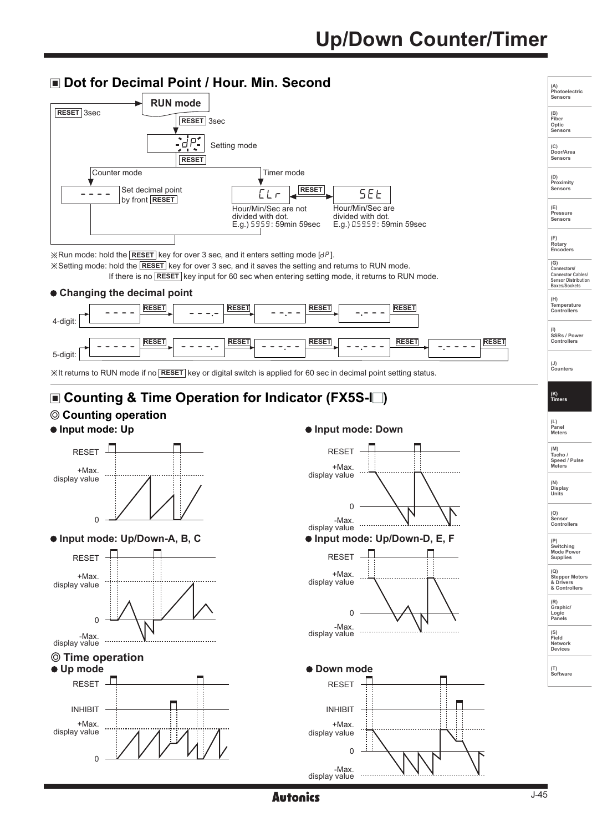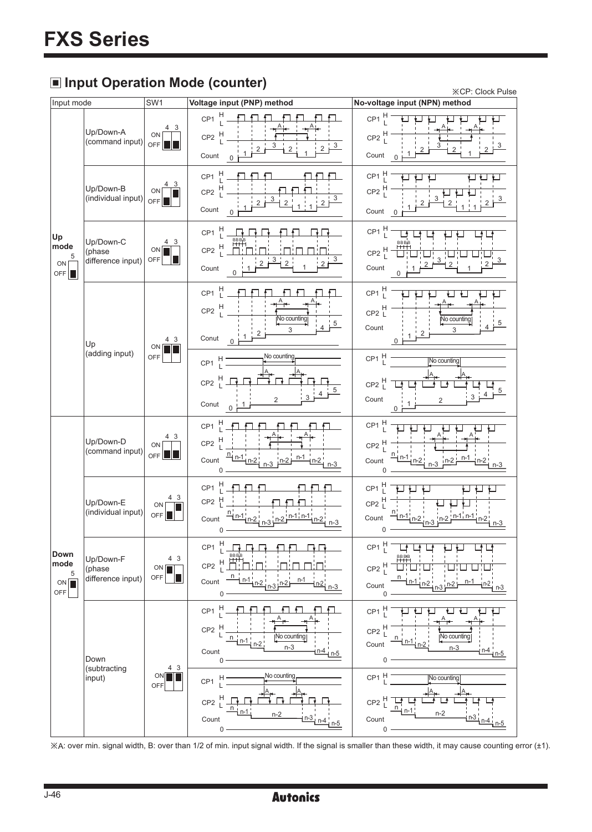# **Input Operation Mode (counter)**

| u, up<br><u></u><br>$\cdots$<br><b>※CP: Clock Pulse</b> |                                          |                                 |                                                                                                                                                                             |                                                                                                                                                 |  |  |
|---------------------------------------------------------|------------------------------------------|---------------------------------|-----------------------------------------------------------------------------------------------------------------------------------------------------------------------------|-------------------------------------------------------------------------------------------------------------------------------------------------|--|--|
| Input mode                                              |                                          | SW1                             | Voltage input (PNP) method                                                                                                                                                  | No-voltage input (NPN) method                                                                                                                   |  |  |
| Up<br>mode<br>5<br>ON  <br>OFF <sup>I</sup>             | Up/Down-A<br>(command input)             | 4 3<br>ON<br>OFF II             | $CP1$ <sup>H</sup><br>$CP2$ <sup>H</sup><br>3<br>$2\frac{3}{2}$<br>Count                                                                                                    | CP1 $\frac{H}{I}$<br>$CP2$ <sup>H</sup><br>2 <sup>1</sup><br>Count<br>$\mathbf{0}$                                                              |  |  |
|                                                         | Up/Down-B<br>(individual input)          | 4 3<br>ON<br>OFF                | $CP1$ H<br>$CP2$ <sup>H</sup><br>Count<br>$\mathbf{0}$                                                                                                                      | $CP1$ <sup>H</sup><br>$CP2$ <sup>H</sup><br>Count $0$                                                                                           |  |  |
|                                                         | Up/Down-C<br>(phase<br>difference input) | 4 3<br>ON <sub>I</sub><br>$OFF$ | $CP1$ <sup>H</sup><br>CP2 $\frac{H}{I}$<br>Count                                                                                                                            | $CP1 \begin{array}{c} H \\ L \end{array}$<br>CP2 $\frac{H}{I}$<br>2 <sup>1</sup><br>Count                                                       |  |  |
|                                                         | Up<br>(adding input)                     | 4 3<br>ON<br>OFF                | H<br>L<br>CP <sub>1</sub><br>$CP2$ <sup>H</sup><br><b>Vo counting</b><br>3<br>$0 + \frac{1}{2}$<br>Conut                                                                    | $CP1 \begin{array}{c} H \\ L \end{array}$<br>$CP2$ <sup>H</sup><br>No counting<br>Count<br>3                                                    |  |  |
|                                                         |                                          |                                 | No counting<br>CP1 $\frac{H}{I}$<br>$CP2 \nightharpoonup^H \nightharpoonup$<br>Conut<br>$\mathbf 0$                                                                         | $CP1 \begin{bmatrix} H \\ L \end{bmatrix}$<br>No counting<br>$CP2 \begin{bmatrix} H \\ L \end{bmatrix}$<br>Count<br>$\overline{2}$              |  |  |
| Down<br>mode<br>5<br>ON<br>OFF                          | Up/Down-D<br>(command input)             | 43<br>ON<br>OFF $\ \ $          | $\frac{H}{I}$<br>CP1<br>$CP2$ H<br>$n_{n-1}$ <sub>n-2</sub><br>Count                                                                                                        | $CP1$ <sup>H</sup><br>$CP2$ $\frac{H}{L}$<br>$n-1$ <sub>n-2</sub><br>Count                                                                      |  |  |
|                                                         | Up/Down-E<br>(individual input)          | 4 3<br>ON<br>OFF <sup>I</sup>   | $CP1$ <sup>H</sup><br>CP2 H<br>$n_{n-1}$ <sub>n-2</sub><br>$n-2$ $n-1$ $n-1$<br>Count<br>$\mathsf 0$                                                                        | $CP1$ <sup>H</sup><br>$CP2$ <sup>H</sup><br>$\frac{n_{n-1}}{n-2}$ n-3<br>$n-2$ $n-1$ $n-1$<br>Count<br>0                                        |  |  |
|                                                         | Up/Down-F<br>(phase<br>difference input) | 4 3<br>ON <sub>I</sub><br>OFF   | H<br>I<br>CP <sub>1</sub><br>$CP2 \frac{H}{I}$ $\frac{H}{I}$ $\frac{H}{I}$ $\frac{H}{I}$<br>П!П!<br>$\frac{1 n-1 n-2}{n-3}$ n-2<br>Count<br><u>n-1</u><br>$\frac{n-2}{n-3}$ | $CP1 \nvert^{\mathsf{H}}$<br>$CP2 \begin{bmatrix} H \\ I \end{bmatrix}$<br>$n-1$ <sub>n-2</sub><br><u>n-1</u><br>$n^3$ $n^2$<br>+n-2 ¦<br>Count |  |  |
|                                                         | Down                                     |                                 | H<br>CP <sub>1</sub><br>CP <sub>2</sub><br>No counting<br>$\mathsf n$<br>$n-3$<br>$n-4$<br>Count<br>n-5<br>$\mathsf 0$                                                      | $CP1$ <sup>H</sup><br>┙┙<br>$CP2$ $\frac{H}{L}$<br><b>No counting</b><br>Count<br>$n-3$<br>$n-4$<br>$\mathsf 0$                                 |  |  |
|                                                         | (subtracting<br>input)                   | 4 3<br>ON<br>OFF                | No counting<br>$CP1$ <sup>H</sup><br>$CP2$ <sup>H</sup> .<br>$n-2$<br>$\frac{n-3}{1}$ $n-4$ $n-5$<br>Count<br>$0 -$                                                         | CP1 H<br>No counting<br>CP2 $\frac{H}{I}$<br>n<br>$n-2$<br>Count<br>$0 -$                                                                       |  |  |

※A: over min. signal width, B: over than 1/2 of min. input signal width. If the signal is smaller than these width, it may cause counting error (±1).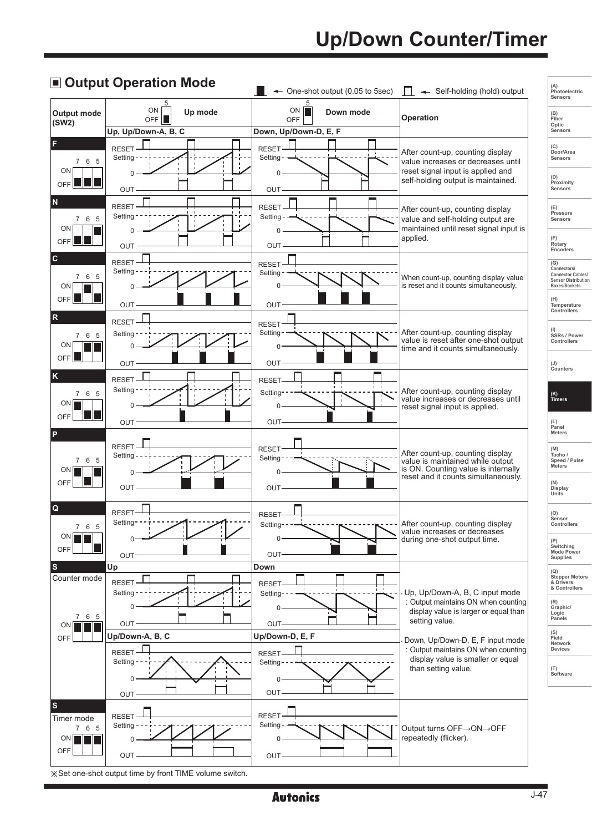# **Up/Down Counter/Timer**



### **Autonics**